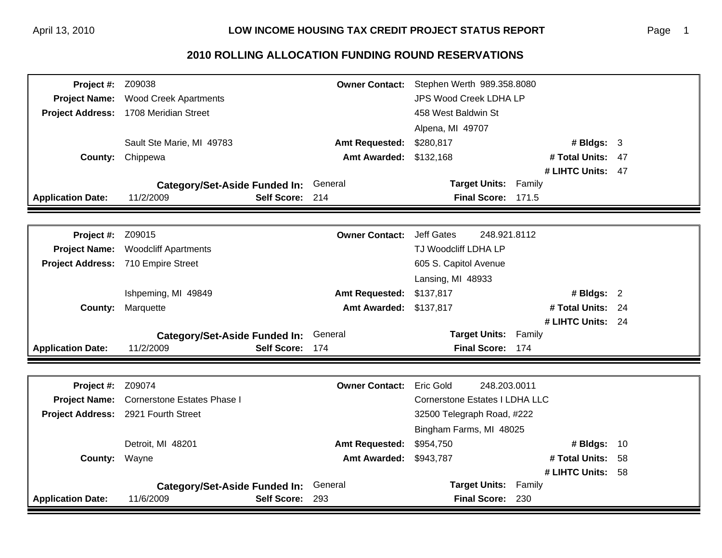## **2010 ROLLING ALLOCATION FUNDING ROUND RESERVATIONS**

| Project #:               | Z09038<br><b>Owner Contact:</b><br>Stephen Werth 989.358.8080 |                       |                                       |                   |    |
|--------------------------|---------------------------------------------------------------|-----------------------|---------------------------------------|-------------------|----|
| <b>Project Name:</b>     | <b>JPS Wood Creek LDHA LP</b><br><b>Wood Creek Apartments</b> |                       |                                       |                   |    |
| <b>Project Address:</b>  | 1708 Meridian Street<br>458 West Baldwin St                   |                       |                                       |                   |    |
|                          |                                                               |                       | Alpena, MI 49707                      |                   |    |
|                          | Sault Ste Marie, MI 49783                                     | <b>Amt Requested:</b> | \$280,817                             | # Bldgs: 3        |    |
| County:                  | Chippewa                                                      | <b>Amt Awarded:</b>   | \$132,168                             | # Total Units: 47 |    |
|                          |                                                               |                       |                                       | # LIHTC Units: 47 |    |
|                          | General<br><b>Category/Set-Aside Funded In:</b>               |                       | <b>Target Units:</b>                  | Family            |    |
| <b>Application Date:</b> | 11/2/2009<br>Self Score: 214                                  |                       | Final Score: 171.5                    |                   |    |
|                          |                                                               |                       |                                       |                   |    |
| Project #:               | Z09015                                                        | <b>Owner Contact:</b> | <b>Jeff Gates</b><br>248.921.8112     |                   |    |
| <b>Project Name:</b>     | <b>Woodcliff Apartments</b>                                   |                       | TJ Woodcliff LDHA LP                  |                   |    |
| <b>Project Address:</b>  | 710 Empire Street                                             |                       | 605 S. Capitol Avenue                 |                   |    |
|                          |                                                               |                       | Lansing, MI 48933                     |                   |    |
|                          | Ishpeming, MI 49849                                           | <b>Amt Requested:</b> | \$137,817                             | # Bldgs: 2        |    |
| County:                  | Marquette                                                     | <b>Amt Awarded:</b>   | \$137,817                             | # Total Units: 24 |    |
|                          |                                                               |                       |                                       | # LIHTC Units: 24 |    |
|                          | <b>Category/Set-Aside Funded In:</b>                          | General               | <b>Target Units:</b><br>Family        |                   |    |
| <b>Application Date:</b> | 11/2/2009<br>Self Score: 174                                  |                       | Final Score: 174                      |                   |    |
|                          |                                                               |                       |                                       |                   |    |
| Project #:               | Z09074                                                        | <b>Owner Contact:</b> | <b>Eric Gold</b><br>248.203.0011      |                   |    |
| <b>Project Name:</b>     | Cornerstone Estates Phase I                                   |                       | <b>Cornerstone Estates I LDHA LLC</b> |                   |    |
| <b>Project Address:</b>  | 2921 Fourth Street                                            |                       | 32500 Telegraph Road, #222            |                   |    |
|                          |                                                               |                       | Bingham Farms, MI 48025               |                   |    |
|                          | Detroit, MI 48201                                             | <b>Amt Requested:</b> | \$954,750                             | # Bldgs:          | 10 |
| County:                  | Wayne                                                         | <b>Amt Awarded:</b>   | \$943,787                             | # Total Units:    | 58 |
|                          |                                                               |                       |                                       | # LIHTC Units: 58 |    |
|                          | <b>Category/Set-Aside Funded In:</b>                          | General               | <b>Target Units:</b><br>Family        |                   |    |
| <b>Application Date:</b> | 11/6/2009<br>Self Score: 293                                  |                       | Final Score: 230                      |                   |    |